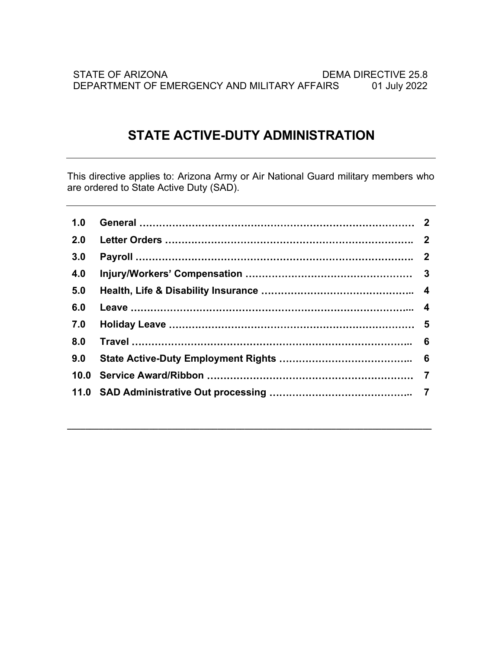# STATE ACTIVE-DUTY ADMINISTRATION

This directive applies to: Arizona Army or Air National Guard military members who are ordered to State Active Duty (SAD).

| 1.0  |                |
|------|----------------|
| 2.0  |                |
| 3.0  |                |
| 4.0  |                |
| 5.0  |                |
| 6.0  | 4              |
| 7.0  |                |
| 8.0  | 6              |
| 9.0  |                |
| 10.0 | $\overline{7}$ |
|      |                |
|      |                |
|      |                |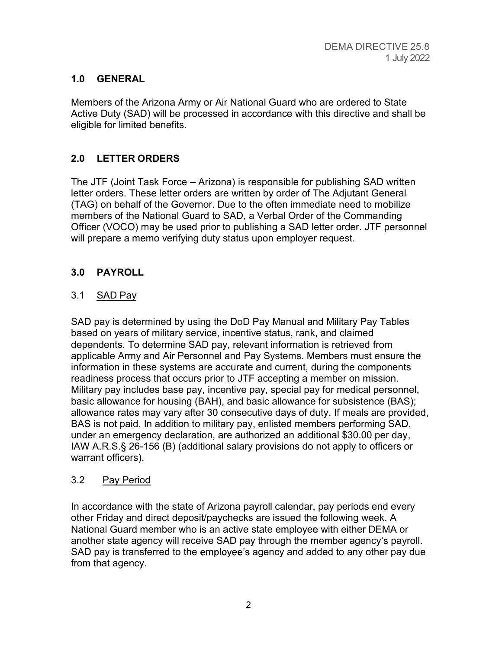# 1.0 GENERAL

Members of the Arizona Army or Air National Guard who are ordered to State Active Duty (SAD) will be processed in accordance with this directive and shall be eligible for limited benefits.

# 2.0 LETTER ORDERS

The JTF (Joint Task Force – Arizona) is responsible for publishing SAD written letter orders. These letter orders are written by order of The Adjutant General (TAG) on behalf of the Governor. Due to the often immediate need to mobilize members of the National Guard to SAD, a Verbal Order of the Commanding Officer (VOCO) may be used prior to publishing a SAD letter order. JTF personnel will prepare a memo verifying duty status upon employer request.

# 3.0 PAYROLL

# 3.1 SAD Pay

SAD pay is determined by using the DoD Pay Manual and Military Pay Tables based on years of military service, incentive status, rank, and claimed dependents. To determine SAD pay, relevant information is retrieved from applicable Army and Air Personnel and Pay Systems. Members must ensure the information in these systems are accurate and current, during the components readiness process that occurs prior to JTF accepting a member on mission. Military pay includes base pay, incentive pay, special pay for medical personnel, basic allowance for housing (BAH), and basic allowance for subsistence (BAS); allowance rates may vary after 30 consecutive days of duty. If meals are provided, BAS is not paid. In addition to military pay, enlisted members performing SAD, under an emergency declaration, are authorized an additional \$30.00 per day, IAW A.R.S.§ 26-156 (B) (additional salary provisions do not apply to officers or warrant officers).

## 3.2 Pay Period

In accordance with the state of Arizona payroll calendar, pay periods end every other Friday and direct deposit/paychecks are issued the following week. A National Guard member who is an active state employee with either DEMA or another state agency will receive SAD pay through the member agency's payroll. SAD pay is transferred to the employee's agency and added to any other pay due from that agency.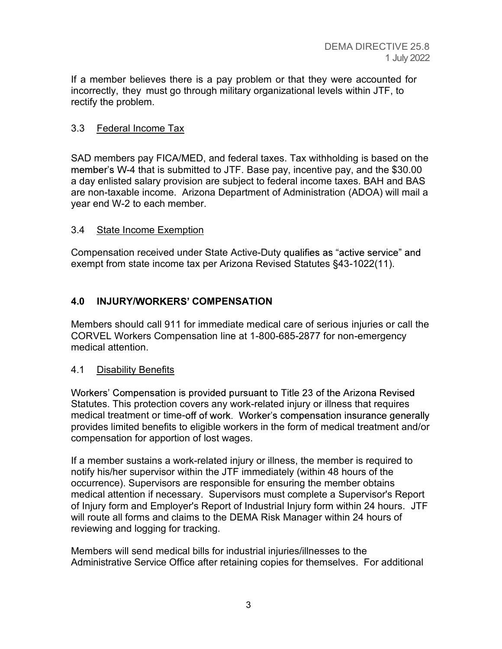If a member believes there is a pay problem or that they were accounted for incorrectly, they must go through military organizational levels within JTF, to rectify the problem.

# 3.3 Federal Income Tax

SAD members pay FICA/MED, and federal taxes. Tax withholding is based on the member's W-4 that is submitted to JTF. Base pay, incentive pay, and the \$30.00 a day enlisted salary provision are subject to federal income taxes. BAH and BAS are non-taxable income. Arizona Department of Administration (ADOA) will mail a year end W-2 to each member.

#### 3.4 State Income Exemption

Compensation received under State Active-Duty qualifies as "active service" and exempt from state income tax per Arizona Revised Statutes §43-1022(11).

## 4.0 INJURY/WORKERS' COMPENSATION

Members should call 911 for immediate medical care of serious injuries or call the CORVEL Workers Compensation line at 1-800-685-2877 for non-emergency medical attention.

## 4.1 Disability Benefits

Workers' Compensation is provided pursuant to Title 23 of the Arizona Revised Statutes. This protection covers any work-related injury or illness that requires medical treatment or time-off of work. Worker's compensation insurance generally provides limited benefits to eligible workers in the form of medical treatment and/or compensation for apportion of lost wages.

If a member sustains a work-related injury or illness, the member is required to notify his/her supervisor within the JTF immediately (within 48 hours of the occurrence). Supervisors are responsible for ensuring the member obtains medical attention if necessary. Supervisors must complete a Supervisor's Report of Injury form and Employer's Report of Industrial Injury form within 24 hours. JTF will route all forms and claims to the DEMA Risk Manager within 24 hours of reviewing and logging for tracking.

Members will send medical bills for industrial injuries/illnesses to the Administrative Service Office after retaining copies for themselves. For additional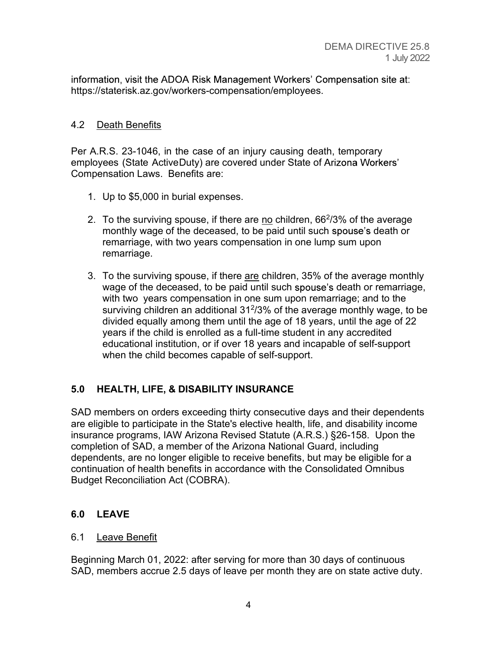information, visit the ADOA Risk Management Workers' Compensation site at: https://staterisk.az.gov/workers-compensation/employees.

### 4.2 Death Benefits

Per A.R.S. 23-1046, in the case of an injury causing death, temporary employees (State Active Duty) are covered under State of Arizona Workers' Compensation Laws. Benefits are:

- 1. Up to \$5,000 in burial expenses.
- 2. To the surviving spouse, if there are <u>no</u> children, 66<sup>2</sup>/3% of the average monthly wage of the deceased, to be paid until such spouse's death or remarriage, with two years compensation in one lump sum upon remarriage.
- 3. To the surviving spouse, if there are children, 35% of the average monthly wage of the deceased, to be paid until such spouse's death or remarriage, with two years compensation in one sum upon remarriage; and to the surviving children an additional 312 /3% of the average monthly wage, to be divided equally among them until the age of 18 years, until the age of 22 years if the child is enrolled as a full-time student in any accredited educational institution, or if over 18 years and incapable of self-support when the child becomes capable of self-support.

## 5.0 HEALTH, LIFE, & DISABILITY INSURANCE

SAD members on orders exceeding thirty consecutive days and their dependents are eligible to participate in the State's elective health, life, and disability income insurance programs, IAW Arizona Revised Statute (A.R.S.) §26-158. Upon the completion of SAD, a member of the Arizona National Guard, including dependents, are no longer eligible to receive benefits, but may be eligible for a continuation of health benefits in accordance with the Consolidated Omnibus Budget Reconciliation Act (COBRA).

## 6.0 LEAVE

#### 6.1 Leave Benefit

Beginning March 01, 2022: after serving for more than 30 days of continuous SAD, members accrue 2.5 days of leave per month they are on state active duty.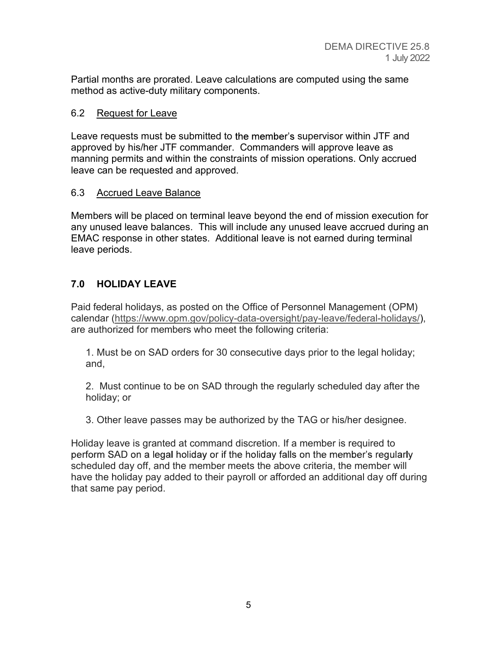Partial months are prorated. Leave calculations are computed using the same method as active-duty military components.

#### 6.2 Request for Leave

Leave requests must be submitted to the member's supervisor within JTF and approved by his/her JTF commander. Commanders will approve leave as manning permits and within the constraints of mission operations. Only accrued leave can be requested and approved.

#### 6.3 Accrued Leave Balance

Members will be placed on terminal leave beyond the end of mission execution for any unused leave balances. This will include any unused leave accrued during an EMAC response in other states. Additional leave is not earned during terminal leave periods.

# 7.0 HOLIDAY LEAVE

Paid federal holidays, as posted on the Office of Personnel Management (OPM) calendar (https://www.opm.gov/policy-data-oversight/pay-leave/federal-holidays/), are authorized for members who meet the following criteria:

1. Must be on SAD orders for 30 consecutive days prior to the legal holiday; and,

 2. Must continue to be on SAD through the regularly scheduled day after the holiday; or

3. Other leave passes may be authorized by the TAG or his/her designee.

Holiday leave is granted at command discretion. If a member is required to perform SAD on a legal holiday or if the holiday falls on the member's regularly scheduled day off, and the member meets the above criteria, the member will have the holiday pay added to their payroll or afforded an additional day off during that same pay period.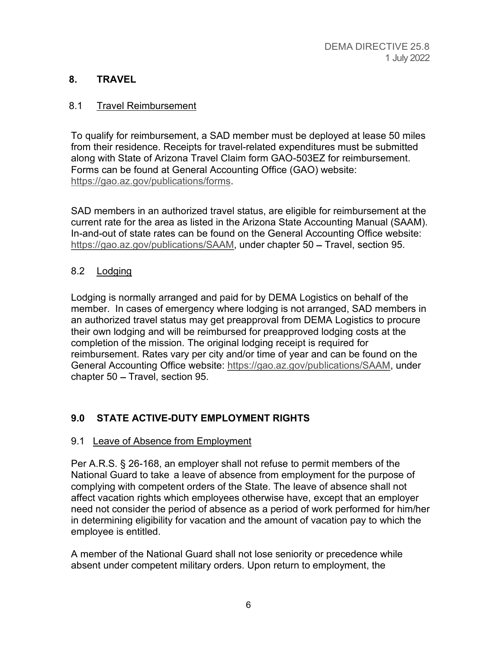# 8. TRAVEL

# 8.1 Travel Reimbursement

To qualify for reimbursement, a SAD member must be deployed at lease 50 miles from their residence. Receipts for travel-related expenditures must be submitted along with State of Arizona Travel Claim form GAO-503EZ for reimbursement. Forms can be found at General Accounting Office (GAO) website: https://gao.az.gov/publications/forms. SAD members in an authorized travel status, are eligible for reimbursement at the

current rate for the area as listed in the Arizona State Accounting Manual (SAAM). In-and-out of state rates can be found on the General Accounting Office website: https://gao.az.gov/publications/SAAM, under chapter 50 - Travel, section 95.

# 8.2 Lodging

Lodging is normally arranged and paid for by DEMA Logistics on behalf of the member. In cases of emergency where lodging is not arranged, SAD members in an authorized travel status may get preapproval from DEMA Logistics to procure their own lodging and will be reimbursed for preapproved lodging costs at the completion of the mission. The original lodging receipt is required for reimbursement. Rates vary per city and/or time of year and can be found on the General Accounting Office website: https://gao.az.gov/publications/SAAM, under chapter  $50 -$ Travel, section 95.

# 9.0 STATE ACTIVE-DUTY EMPLOYMENT RIGHTS

## 9.1 Leave of Absence from Employment

Per A.R.S. § 26-168, an employer shall not refuse to permit members of the National Guard to take a leave of absence from employment for the purpose of complying with competent orders of the State. The leave of absence shall not affect vacation rights which employees otherwise have, except that an employer need not consider the period of absence as a period of work performed for him/her in determining eligibility for vacation and the amount of vacation pay to which the employee is entitled.

A member of the National Guard shall not lose seniority or precedence while absent under competent military orders. Upon return to employment, the